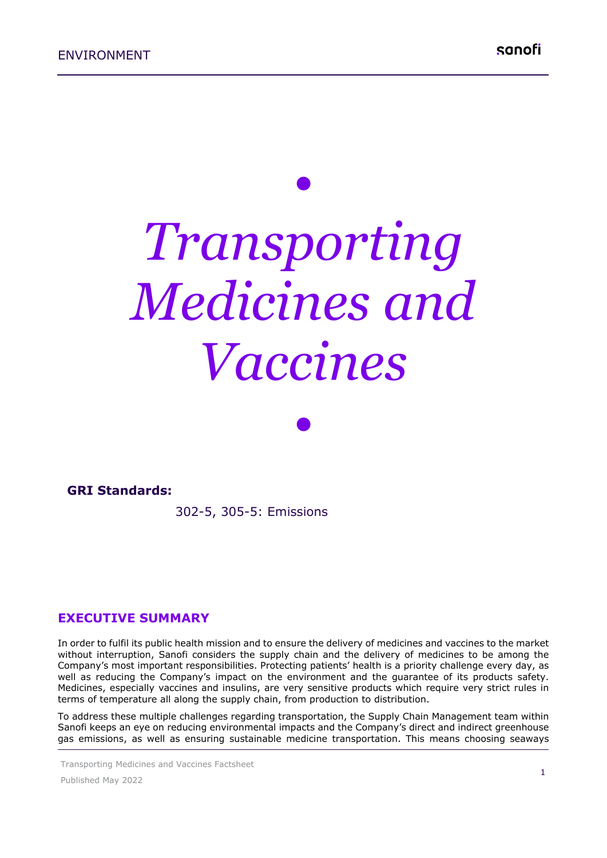# *• Transporting Medicines and Vaccines*

*•*

.........................

#### **GRI Standards:**

302-5, 305-5: Emissions

#### **EXECUTIVE SUMMARY**

In order to fulfil its public health mission and to ensure the delivery of medicines and vaccines to the market without interruption, Sanofi considers the supply chain and the delivery of medicines to be among the Company's most important responsibilities. Protecting patients' health is a priority challenge every day, as well as reducing the Company's impact on the environment and the guarantee of its products safety. Medicines, especially vaccines and insulins, are very sensitive products which require very strict rules in terms of temperature all along the supply chain, from production to distribution.

To address these multiple challenges regarding transportation, the Supply Chain Management team within Sanofi keeps an eye on reducing environmental impacts and the Company's direct and indirect greenhouse gas emissions, as well as ensuring sustainable medicine transportation. This means choosing seaways

Transporting Medicines and Vaccines Factsheet

Published May 2022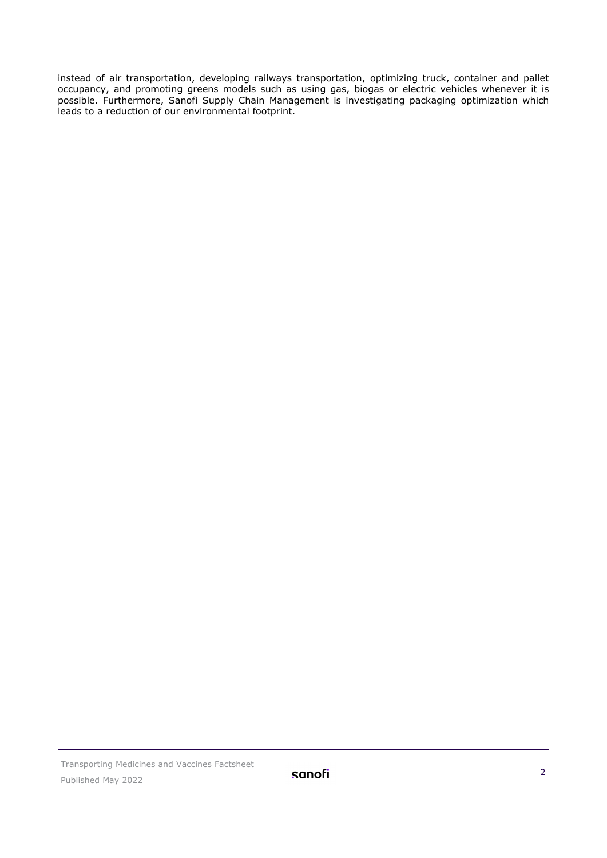instead of air transportation, developing railways transportation, optimizing truck, container and pallet occupancy, and promoting greens models such as using gas, biogas or electric vehicles whenever it is possible. Furthermore, Sanofi Supply Chain Management is investigating packaging optimization which leads to a reduction of our environmental footprint.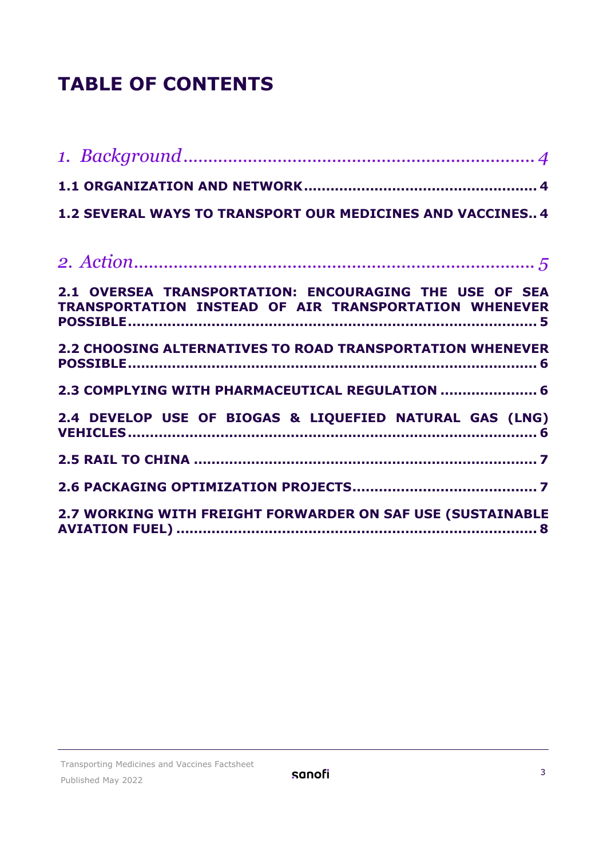## **TABLE OF CONTENTS**

| 1.2 SEVERAL WAYS TO TRANSPORT OUR MEDICINES AND VACCINES 4                                                      |
|-----------------------------------------------------------------------------------------------------------------|
|                                                                                                                 |
|                                                                                                                 |
| 2.1 OVERSEA TRANSPORTATION: ENCOURAGING THE USE OF SEA<br>TRANSPORTATION INSTEAD OF AIR TRANSPORTATION WHENEVER |
| 2.2 CHOOSING ALTERNATIVES TO ROAD TRANSPORTATION WHENEVER                                                       |
| 2.3 COMPLYING WITH PHARMACEUTICAL REGULATION  6                                                                 |
| 2.4 DEVELOP USE OF BIOGAS & LIQUEFIED NATURAL GAS (LNG)                                                         |
|                                                                                                                 |
|                                                                                                                 |
| 2.7 WORKING WITH FREIGHT FORWARDER ON SAF USE (SUSTAINABLE                                                      |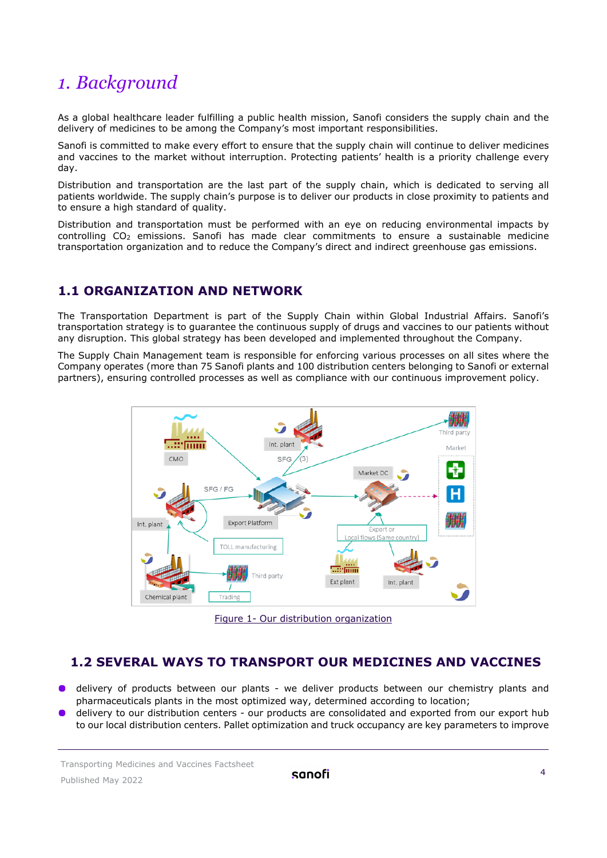## <span id="page-3-0"></span>*1. Background*

As a global healthcare leader fulfilling a public health mission, Sanofi considers the supply chain and the delivery of medicines to be among the Company's most important responsibilities.

Sanofi is committed to make every effort to ensure that the supply chain will continue to deliver medicines and vaccines to the market without interruption. Protecting patients' health is a priority challenge every day.

Distribution and transportation are the last part of the supply chain, which is dedicated to serving all patients worldwide. The supply chain's purpose is to deliver our products in close proximity to patients and to ensure a high standard of quality.

Distribution and transportation must be performed with an eye on reducing environmental impacts by controlling CO<sub>2</sub> emissions. Sanofi has made clear commitments to ensure a sustainable medicine transportation organization and to reduce the Company's direct and indirect greenhouse gas emissions.

#### <span id="page-3-1"></span>**1.1 ORGANIZATION AND NETWORK**

The Transportation Department is part of the Supply Chain within Global Industrial Affairs. Sanofi's transportation strategy is to guarantee the continuous supply of drugs and vaccines to our patients without any disruption. This global strategy has been developed and implemented throughout the Company.

The Supply Chain Management team is responsible for enforcing various processes on all sites where the Company operates (more than 75 Sanofi plants and 100 distribution centers belonging to Sanofi or external partners), ensuring controlled processes as well as compliance with our continuous improvement policy.



Figure 1- Our distribution organization

#### <span id="page-3-2"></span> **1.2 SEVERAL WAYS TO TRANSPORT OUR MEDICINES AND VACCINES**

- delivery of products between our plants we deliver products between our chemistry plants and pharmaceuticals plants in the most optimized way, determined according to location;
- delivery to our distribution centers our products are consolidated and exported from our export hub to our local distribution centers. Pallet optimization and truck occupancy are key parameters to improve

Transporting Medicines and Vaccines Factsheet Published May 2022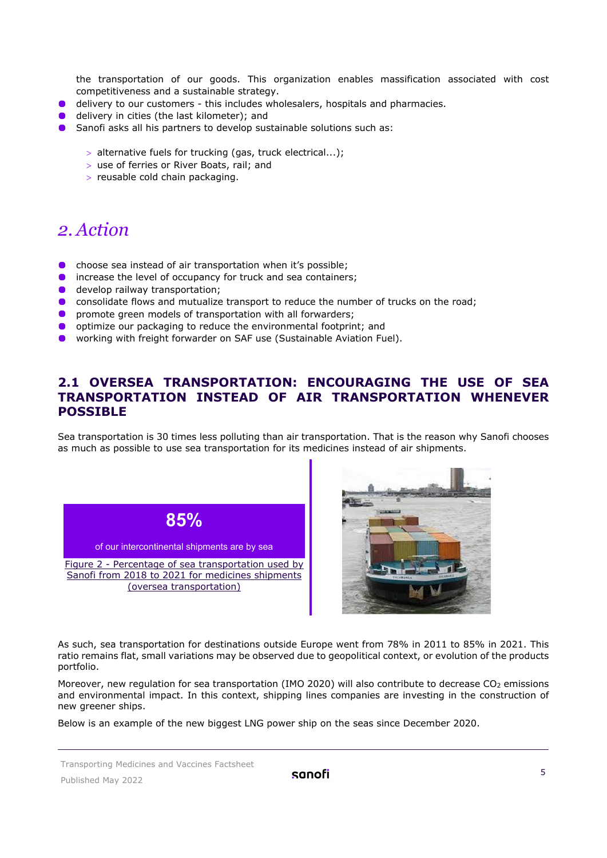the transportation of our goods. This organization enables massification associated with cost competitiveness and a sustainable strategy.

- **O** delivery to our customers this includes wholesalers, hospitals and pharmacies.
- **d** delivery in cities (the last kilometer); and
- **O** Sanofi asks all his partners to develop sustainable solutions such as:
	- > alternative fuels for trucking (gas, truck electrical...);
	- > use of ferries or River Boats, rail; and
	- > reusable cold chain packaging.

### <span id="page-4-0"></span>*2. Action*

- choose sea instead of air transportation when it's possible;
- **O** increase the level of occupancy for truck and sea containers;
- **develop railway transportation;**
- **.** consolidate flows and mutualize transport to reduce the number of trucks on the road;
- $\bullet$ promote green models of transportation with all forwarders;
- optimize our packaging to reduce the environmental footprint; and
- $\bullet$ working with freight forwarder on SAF use (Sustainable Aviation Fuel).

#### <span id="page-4-1"></span>**2.1 OVERSEA TRANSPORTATION: ENCOURAGING THE USE OF SEA TRANSPORTATION INSTEAD OF AIR TRANSPORTATION WHENEVER POSSIBLE**

Sea transportation is 30 times less polluting than air transportation. That is the reason why Sanofi chooses as much as possible to use sea transportation for its medicines instead of air shipments.





As such, sea transportation for destinations outside Europe went from 78% in 2011 to 85% in 2021. This ratio remains flat, small variations may be observed due to geopolitical context, or evolution of the products portfolio.

Moreover, new regulation for sea transportation (IMO 2020) will also contribute to decrease CO<sub>2</sub> emissions and environmental impact. In this context, shipping lines companies are investing in the construction of new greener ships.

Below is an example of the new biggest LNG power ship on the seas since December 2020.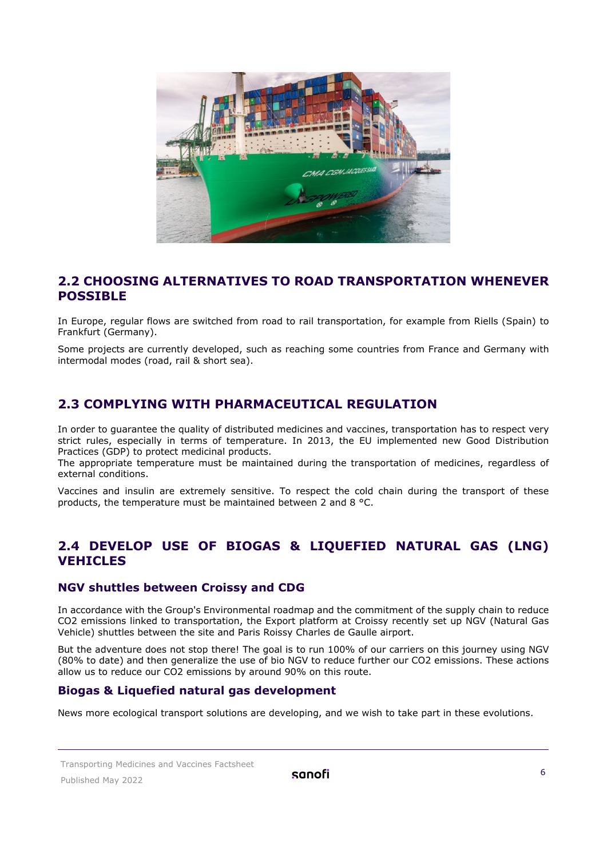

#### <span id="page-5-0"></span>**2.2 CHOOSING ALTERNATIVES TO ROAD TRANSPORTATION WHENEVER POSSIBLE**

In Europe, regular flows are switched from road to rail transportation, for example from Riells (Spain) to Frankfurt (Germany).

Some projects are currently developed, such as reaching some countries from France and Germany with intermodal modes (road, rail & short sea).

#### <span id="page-5-1"></span>**2.3 COMPLYING WITH PHARMACEUTICAL REGULATION**

In order to guarantee the quality of distributed medicines and vaccines, transportation has to respect very strict rules, especially in terms of temperature. In 2013, the EU implemented new Good Distribution Practices (GDP) to protect medicinal products.

The appropriate temperature must be maintained during the transportation of medicines, regardless of external conditions.

Vaccines and insulin are extremely sensitive. To respect the cold chain during the transport of these products, the temperature must be maintained between 2 and 8 °C.

#### <span id="page-5-2"></span>**2.4 DEVELOP USE OF BIOGAS & LIQUEFIED NATURAL GAS (LNG) VEHICLES**

#### **NGV shuttles between Croissy and CDG**

In accordance with the Group's Environmental roadmap and the commitment of the supply chain to reduce CO2 emissions linked to transportation, the Export platform at Croissy recently set up NGV (Natural Gas Vehicle) shuttles between the site and Paris Roissy Charles de Gaulle airport.

But the adventure does not stop there! The goal is to run 100% of our carriers on this journey using NGV (80% to date) and then generalize the use of bio NGV to reduce further our CO2 emissions. These actions allow us to reduce our CO2 emissions by around 90% on this route.

#### **Biogas & Liquefied natural gas development**

News more ecological transport solutions are developing, and we wish to take part in these evolutions.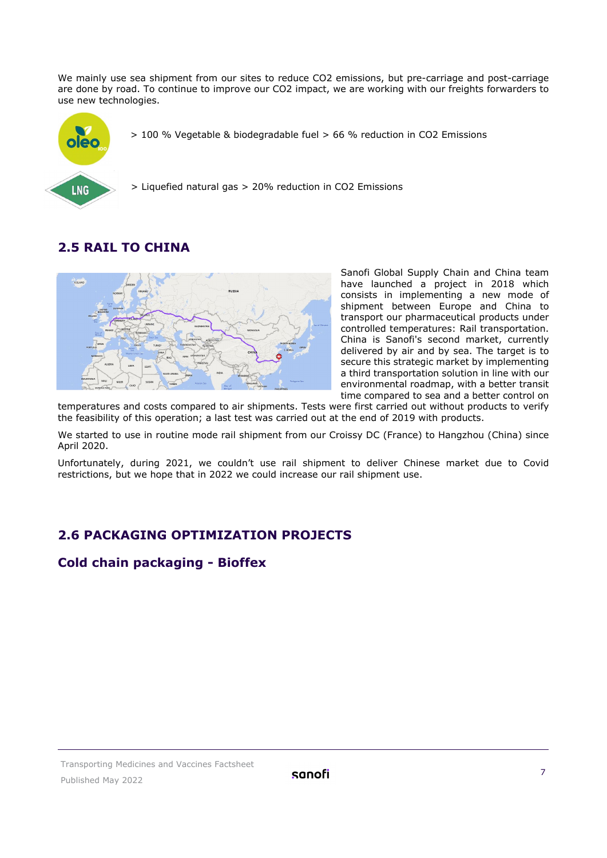We mainly use sea shipment from our sites to reduce CO2 emissions, but pre-carriage and post-carriage are done by road. To continue to improve our CO2 impact, we are working with our freights forwarders to use new technologies.



> 100 % Vegetable & biodegradable fuel > 66 % reduction in CO2 Emissions

> Liquefied natural gas > 20% reduction in CO2 Emissions

#### <span id="page-6-0"></span>**2.5 RAIL TO CHINA**



Sanofi Global Supply Chain and China team have launched a project in 2018 which consists in implementing a new mode of shipment between Europe and China to transport our pharmaceutical products under controlled temperatures: Rail transportation. China is Sanofi's second market, currently delivered by air and by sea. The target is to secure this strategic market by implementing a third transportation solution in line with our environmental roadmap, with a better transit time compared to sea and a better control on

temperatures and costs compared to air shipments. Tests were first carried out without products to verify the feasibility of this operation; a last test was carried out at the end of 2019 with products.

We started to use in routine mode rail shipment from our Croissy DC (France) to Hangzhou (China) since April 2020.

Unfortunately, during 2021, we couldn't use rail shipment to deliver Chinese market due to Covid restrictions, but we hope that in 2022 we could increase our rail shipment use.

#### <span id="page-6-1"></span>**2.6 PACKAGING OPTIMIZATION PROJECTS**

#### **Cold chain packaging - Bioffex**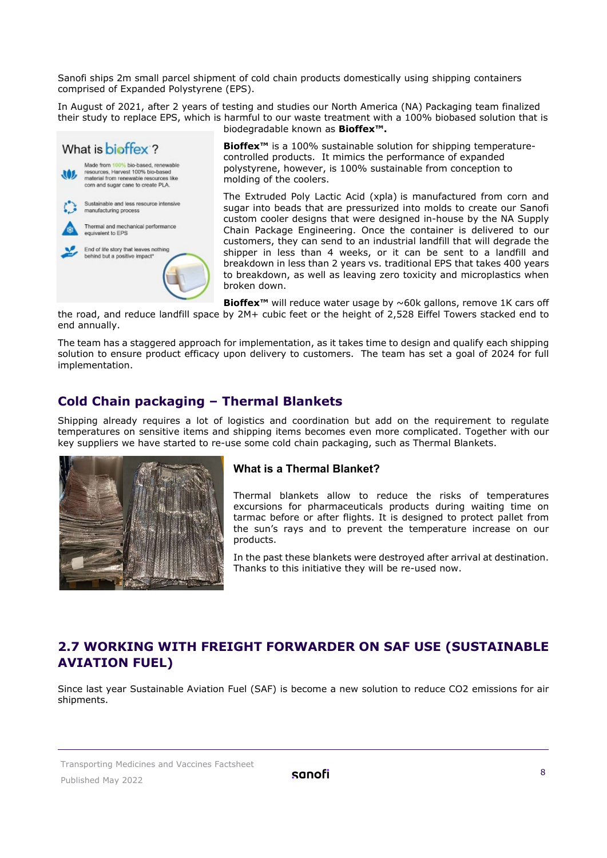Sanofi ships 2m small parcel shipment of cold chain products domestically using shipping containers comprised of Expanded Polystyrene (EPS).

In August of 2021, after 2 years of testing and studies our North America (NA) Packaging team finalized their study to replace EPS, which is harmful to our waste treatment with a 100% biobased solution that is biodegradable known as **Bioffex™.**



**Bioffex<sup>™</sup>** is a 100% sustainable solution for shipping temperaturecontrolled products. It mimics the performance of expanded polystyrene, however, is 100% sustainable from conception to molding of the coolers.

The Extruded Poly Lactic Acid (xpla) is manufactured from corn and sugar into beads that are pressurized into molds to create our Sanofi custom cooler designs that were designed in-house by the NA Supply Chain Package Engineering. Once the container is delivered to our customers, they can send to an industrial landfill that will degrade the shipper in less than 4 weeks, or it can be sent to a landfill and breakdown in less than 2 years vs. traditional EPS that takes 400 years to breakdown, as well as leaving zero toxicity and microplastics when broken down.

**Bioffex™** will reduce water usage by ~60k gallons, remove 1K cars off

the road, and reduce landfill space by 2M+ cubic feet or the height of 2,528 Eiffel Towers stacked end to end annually.

The team has a staggered approach for implementation, as it takes time to design and qualify each shipping solution to ensure product efficacy upon delivery to customers. The team has set a goal of 2024 for full implementation.

#### **Cold Chain packaging – Thermal Blankets**

Shipping already requires a lot of logistics and coordination but add on the requirement to regulate temperatures on sensitive items and shipping items becomes even more complicated. Together with our key suppliers we have started to re-use some cold chain packaging, such as Thermal Blankets.



#### **What is a Thermal Blanket?**

Thermal blankets allow to reduce the risks of temperatures excursions for pharmaceuticals products during waiting time on tarmac before or after flights. It is designed to protect pallet from the sun's rays and to prevent the temperature increase on our products.

In the past these blankets were destroyed after arrival at destination. Thanks to this initiative they will be re-used now.

#### <span id="page-7-0"></span>**2.7 WORKING WITH FREIGHT FORWARDER ON SAF USE (SUSTAINABLE AVIATION FUEL)**

Since last year Sustainable Aviation Fuel (SAF) is become a new solution to reduce CO2 emissions for air shipments.